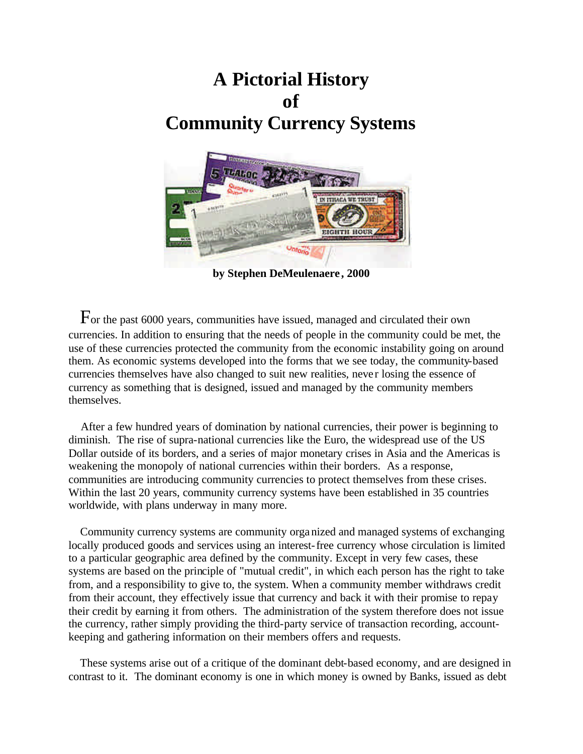# **A Pictorial History of Community Currency Systems**



**by Stephen DeMeulenaere , 2000**

 For the past 6000 years, communities have issued, managed and circulated their own currencies. In addition to ensuring that the needs of people in the community could be met, the use of these currencies protected the community from the economic instability going on around them. As economic systems developed into the forms that we see today, the community-based currencies themselves have also changed to suit new realities, never losing the essence of currency as something that is designed, issued and managed by the community members themselves.

 After a few hundred years of domination by national currencies, their power is beginning to diminish. The rise of supra-national currencies like the Euro, the widespread use of the US Dollar outside of its borders, and a series of major monetary crises in Asia and the Americas is weakening the monopoly of national currencies within their borders. As a response, communities are introducing community currencies to protect themselves from these crises. Within the last 20 years, community currency systems have been established in 35 countries worldwide, with plans underway in many more.

 Community currency systems are community organized and managed systems of exchanging locally produced goods and services using an interest-free currency whose circulation is limited to a particular geographic area defined by the community. Except in very few cases, these systems are based on the principle of "mutual credit", in which each person has the right to take from, and a responsibility to give to, the system. When a community member withdraws credit from their account, they effectively issue that currency and back it with their promise to repay their credit by earning it from others. The administration of the system therefore does not issue the currency, rather simply providing the third-party service of transaction recording, accountkeeping and gathering information on their members offers and requests.

 These systems arise out of a critique of the dominant debt-based economy, and are designed in contrast to it. The dominant economy is one in which money is owned by Banks, issued as debt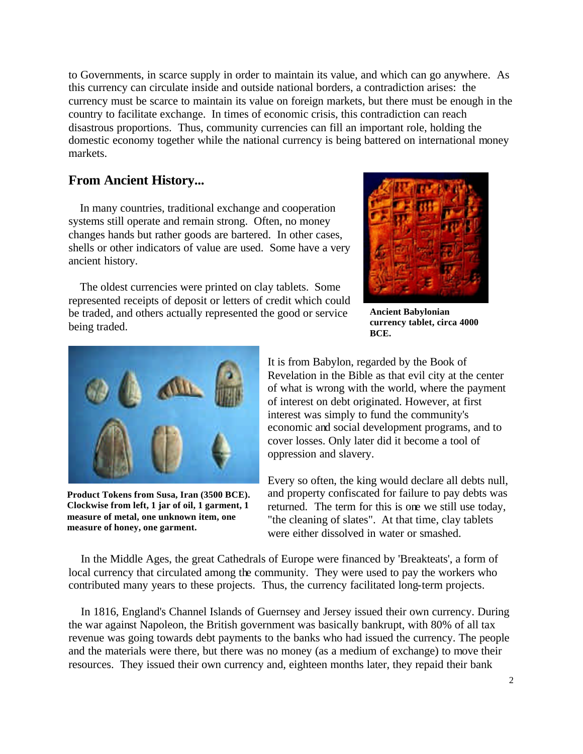to Governments, in scarce supply in order to maintain its value, and which can go anywhere. As this currency can circulate inside and outside national borders, a contradiction arises: the currency must be scarce to maintain its value on foreign markets, but there must be enough in the country to facilitate exchange. In times of economic crisis, this contradiction can reach disastrous proportions. Thus, community currencies can fill an important role, holding the domestic economy together while the national currency is being battered on international money markets.

#### **From Ancient History...**

 In many countries, traditional exchange and cooperation systems still operate and remain strong. Often, no money changes hands but rather goods are bartered. In other cases, shells or other indicators of value are used. Some have a very ancient history.

 The oldest currencies were printed on clay tablets. Some represented receipts of deposit or letters of credit which could be traded, and others actually represented the good or service being traded.



**Ancient Babylonian currency tablet, circa 4000 BCE.**



**Product Tokens from Susa, Iran (3500 BCE). Clockwise from left, 1 jar of oil, 1 garment, 1 measure of metal, one unknown item, one measure of honey, one garment.**

It is from Babylon, regarded by the Book of Revelation in the Bible as that evil city at the center of what is wrong with the world, where the payment of interest on debt originated. However, at first interest was simply to fund the community's economic and social development programs, and to cover losses. Only later did it become a tool of oppression and slavery.

Every so often, the king would declare all debts null, and property confiscated for failure to pay debts was returned. The term for this is one we still use today, "the cleaning of slates". At that time, clay tablets were either dissolved in water or smashed.

 In the Middle Ages, the great Cathedrals of Europe were financed by 'Breakteats', a form of local currency that circulated among the community. They were used to pay the workers who contributed many years to these projects. Thus, the currency facilitated long-term projects.

 In 1816, England's Channel Islands of Guernsey and Jersey issued their own currency. During the war against Napoleon, the British government was basically bankrupt, with 80% of all tax revenue was going towards debt payments to the banks who had issued the currency. The people and the materials were there, but there was no money (as a medium of exchange) to move their resources. They issued their own currency and, eighteen months later, they repaid their bank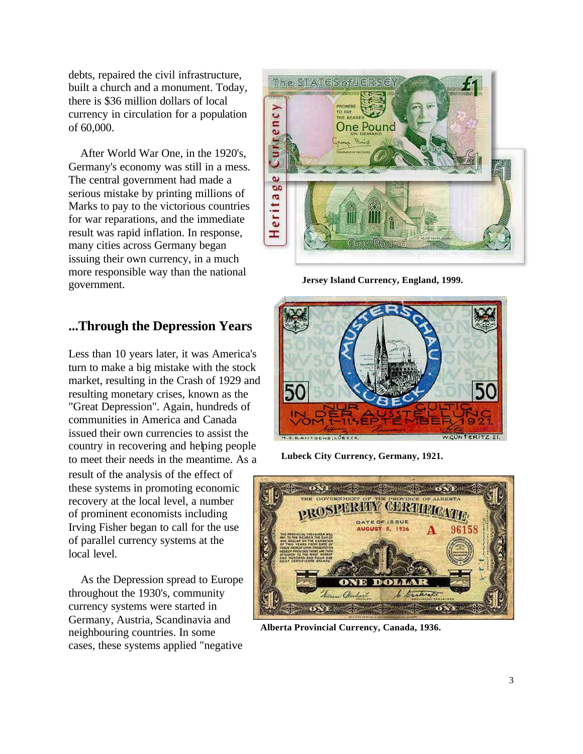debts, repaired the civil infrastructure, built a church and a monument. Today, there is \$36 million dollars of local currency in circulation for a population of 60,000.

 After World War One, in the 1920's, Germany's economy was still in a mess. The central government had made a serious mistake by printing millions of Marks to pay to the victorious countries for war reparations, and the immediate result was rapid inflation. In response, many cities across Germany began issuing their own currency, in a much more responsible way than the national government.

## **...Through the Depression Years**

Less than 10 years later, it was America's turn to make a big mistake with the stock market, resulting in the Crash of 1929 and resulting monetary crises, known as the "Great Depression". Again, hundreds of communities in America and Canada issued their own currencies to assist the country in recovering and helping people to meet their needs in the meantime. As a result of the analysis of the effect of these systems in promoting economic recovery at the local level, a number of prominent economists including Irving Fisher began to call for the use of parallel currency systems at the local level.

 As the Depression spread to Europe throughout the 1930's, community currency systems were started in Germany, Austria, Scandinavia and neighbouring countries. In some cases, these systems applied "negative



**Jersey Island Currency, England, 1999.**



**Lubeck City Currency, Germany, 1921.**



**Alberta Provincial Currency, Canada, 1936.**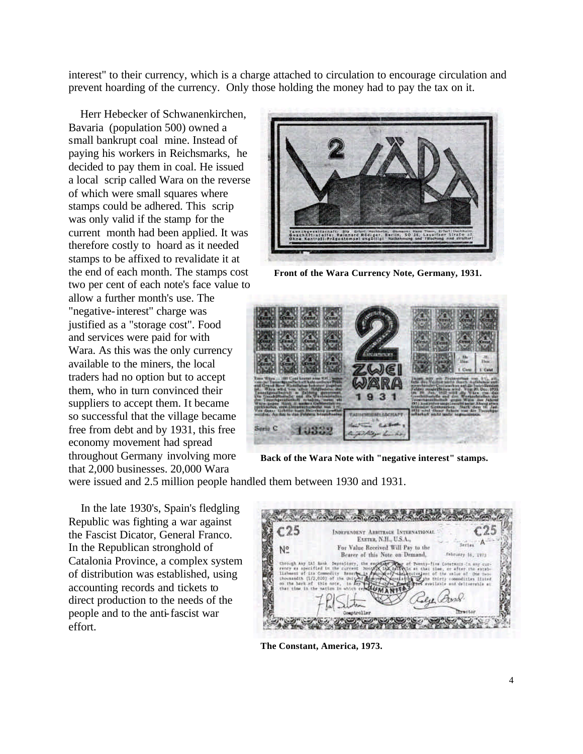interest" to their currency, which is a charge attached to circulation to encourage circulation and prevent hoarding of the currency. Only those holding the money had to pay the tax on it.

 Herr Hebecker of Schwanenkirchen, Bavaria (population 500) owned a small bankrupt coal mine. Instead of paying his workers in Reichsmarks, he decided to pay them in coal. He issued a local scrip called Wara on the reverse of which were small squares where stamps could be adhered. This scrip was only valid if the stamp for the current month had been applied. It was therefore costly to hoard as it needed stamps to be affixed to revalidate it at the end of each month. The stamps cost two per cent of each note's face value to

allow a further month's use. The "negative-interest" charge was justified as a "storage cost". Food and services were paid for with Wara. As this was the only currency available to the miners, the local traders had no option but to accept them, who in turn convinced their suppliers to accept them. It became so successful that the village became free from debt and by 1931, this free economy movement had spread throughout Germany involving more that 2,000 businesses. 20,000 Wara



**Front of the Wara Currency Note, Germany, 1931.**



**Back of the Wara Note with "negative interest" stamps.**

were issued and 2.5 million people handled them between 1930 and 1931.

 In the late 1930's, Spain's fledgling Republic was fighting a war against the Fascist Dicator, General Franco. In the Republican stronghold of Catalonia Province, a complex system of distribution was established, using accounting records and tickets to direct production to the needs of the people and to the anti-fascist war effort.

| $-25$                                                                                            | INDEPENDENT ARRITRAGE INTERNATIONAL<br>EXETER, N.H., U.S.A.,                  |                                                                      |
|--------------------------------------------------------------------------------------------------|-------------------------------------------------------------------------------|----------------------------------------------------------------------|
| N٥                                                                                               | For Value Received Will Pay to the<br>Bearer of this Note on Demand,          | February 16, 1973                                                    |
| rency ex anacifia<br>lishment at its<br><b>Choussndth</b><br>[1/2,000]<br>OD THE<br>that time in | through Any IAT mask. Depealtory, the exceller<br><b>MUEVEIRO</b><br>$-0.014$ | Dienty-five Constants-In any cur-<br>After the excel-<br>44.T. Chine |

**The Constant, America, 1973.**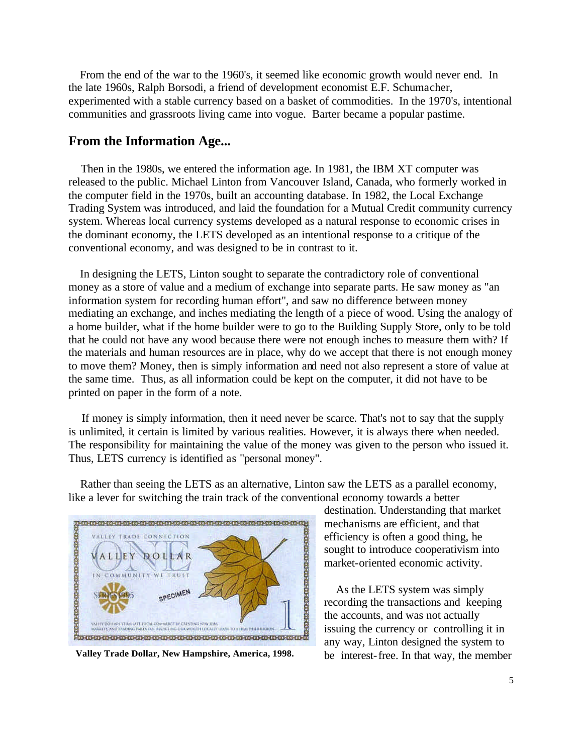From the end of the war to the 1960's, it seemed like economic growth would never end. In the late 1960s, Ralph Borsodi, a friend of development economist E.F. Schumacher, experimented with a stable currency based on a basket of commodities. In the 1970's, intentional communities and grassroots living came into vogue. Barter became a popular pastime.

#### **From the Information Age...**

 Then in the 1980s, we entered the information age. In 1981, the IBM XT computer was released to the public. Michael Linton from Vancouver Island, Canada, who formerly worked in the computer field in the 1970s, built an accounting database. In 1982, the Local Exchange Trading System was introduced, and laid the foundation for a Mutual Credit community currency system. Whereas local currency systems developed as a natural response to economic crises in the dominant economy, the LETS developed as an intentional response to a critique of the conventional economy, and was designed to be in contrast to it.

 In designing the LETS, Linton sought to separate the contradictory role of conventional money as a store of value and a medium of exchange into separate parts. He saw money as "an information system for recording human effort", and saw no difference between money mediating an exchange, and inches mediating the length of a piece of wood. Using the analogy of a home builder, what if the home builder were to go to the Building Supply Store, only to be told that he could not have any wood because there were not enough inches to measure them with? If the materials and human resources are in place, why do we accept that there is not enough money to move them? Money, then is simply information and need not also represent a store of value at the same time. Thus, as all information could be kept on the computer, it did not have to be printed on paper in the form of a note.

 If money is simply information, then it need never be scarce. That's not to say that the supply is unlimited, it certain is limited by various realities. However, it is always there when needed. The responsibility for maintaining the value of the money was given to the person who issued it. Thus, LETS currency is identified as "personal money".



 Rather than seeing the LETS as an alternative, Linton saw the LETS as a parallel economy, like a lever for switching the train track of the conventional economy towards a better

destination. Understanding that market mechanisms are efficient, and that efficiency is often a good thing, he sought to introduce cooperativism into market-oriented economic activity.

 As the LETS system was simply recording the transactions and keeping the accounts, and was not actually issuing the currency or controlling it in any way, Linton designed the system to **Valley Trade Dollar, New Hampshire, America, 1998.** be interest-free. In that way, the member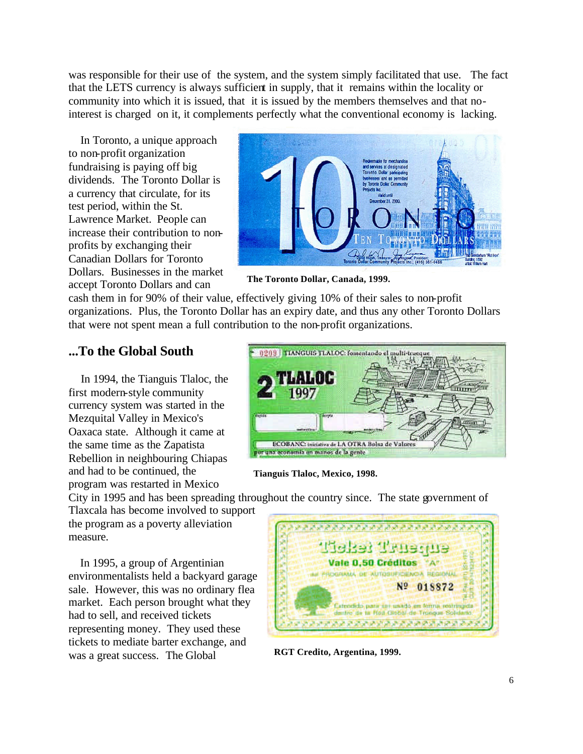was responsible for their use of the system, and the system simply facilitated that use. The fact that the LETS currency is always sufficient in supply, that it remains within the locality or community into which it is issued, that it is issued by the members themselves and that nointerest is charged on it, it complements perfectly what the conventional economy is lacking.

 In Toronto, a unique approach to non-profit organization fundraising is paying off big dividends. The Toronto Dollar is a currency that circulate, for its test period, within the St. Lawrence Market. People can increase their contribution to nonprofits by exchanging their Canadian Dollars for Toronto Dollars. Businesses in the market accept Toronto Dollars and can



**The Toronto Dollar, Canada, 1999.**

cash them in for 90% of their value, effectively giving 10% of their sales to non-profit organizations. Plus, the Toronto Dollar has an expiry date, and thus any other Toronto Dollars that were not spent mean a full contribution to the non-profit organizations.

## **...To the Global South**

 In 1994, the Tianguis Tlaloc, the first modern-style community currency system was started in the Mezquital Valley in Mexico's Oaxaca state. Although it came at the same time as the Zapatista Rebellion in neighbouring Chiapas and had to be continued, the program was restarted in Mexico



**Tianguis Tlaloc, Mexico, 1998.**

City in 1995 and has been spreading throughout the country since. The state government of

Tlaxcala has become involved to support the program as a poverty alleviation measure.

 In 1995, a group of Argentinian environmentalists held a backyard garage sale. However, this was no ordinary flea market. Each person brought what they had to sell, and received tickets representing money. They used these tickets to mediate barter exchange, and was a great success. The Global



**RGT Credito, Argentina, 1999.**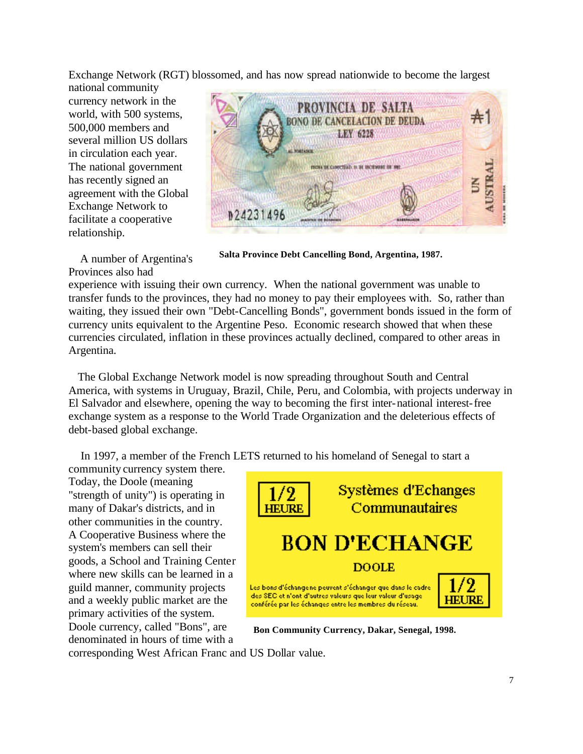Exchange Network (RGT) blossomed, and has now spread nationwide to become the largest national community

currency network in the world, with 500 systems, 500,000 members and several million US dollars in circulation each year. The national government has recently signed an agreement with the Global Exchange Network to facilitate a cooperative relationship.



 A number of Argentina's Provinces also had

**Salta Province Debt Cancelling Bond, Argentina, 1987.**

experience with issuing their own currency. When the national government was unable to transfer funds to the provinces, they had no money to pay their employees with. So, rather than waiting, they issued their own "Debt-Cancelling Bonds", government bonds issued in the form of currency units equivalent to the Argentine Peso. Economic research showed that when these currencies circulated, inflation in these provinces actually declined, compared to other areas in Argentina.

 The Global Exchange Network model is now spreading throughout South and Central America, with systems in Uruguay, Brazil, Chile, Peru, and Colombia, with projects underway in El Salvador and elsewhere, opening the way to becoming the first inter-national interest-free exchange system as a response to the World Trade Organization and the deleterious effects of debt-based global exchange.

In 1997, a member of the French LETS returned to his homeland of Senegal to start a

community currency system there. Today, the Doole (meaning "strength of unity") is operating in many of Dakar's districts, and in other communities in the country. A Cooperative Business where the system's members can sell their goods, a School and Training Center where new skills can be learned in a guild manner, community projects and a weekly public market are the primary activities of the system. Doole currency, called "Bons", are denominated in hours of time with a



**Bon Community Currency, Dakar, Senegal, 1998.**

corresponding West African Franc and US Dollar value.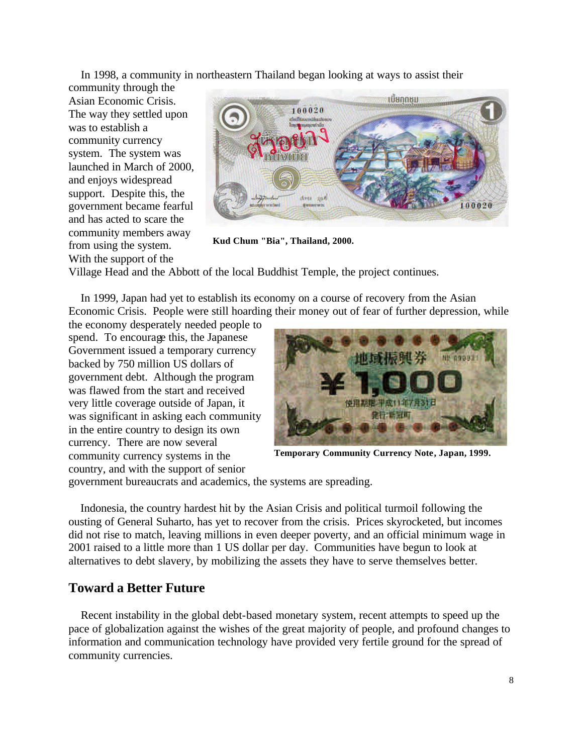In 1998, a community in northeastern Thailand began looking at ways to assist their

community through the Asian Economic Crisis. The way they settled upon was to establish a community currency system. The system was launched in March of 2000, and enjoys widespread support. Despite this, the government became fearful and has acted to scare the community members away from using the system. With the support of the



**Kud Chum "Bia", Thailand, 2000.**

Village Head and the Abbott of the local Buddhist Temple, the project continues.

 In 1999, Japan had yet to establish its economy on a course of recovery from the Asian Economic Crisis. People were still hoarding their money out of fear of further depression, while

the economy desperately needed people to spend. To encourage this, the Japanese Government issued a temporary currency backed by 750 million US dollars of government debt. Although the program was flawed from the start and received very little coverage outside of Japan, it was significant in asking each community in the entire country to design its own currency. There are now several community currency systems in the country, and with the support of senior



**Temporary Community Currency Note, Japan, 1999.**

government bureaucrats and academics, the systems are spreading.

 Indonesia, the country hardest hit by the Asian Crisis and political turmoil following the ousting of General Suharto, has yet to recover from the crisis. Prices skyrocketed, but incomes did not rise to match, leaving millions in even deeper poverty, and an official minimum wage in 2001 raised to a little more than 1 US dollar per day. Communities have begun to look at alternatives to debt slavery, by mobilizing the assets they have to serve themselves better.

### **Toward a Better Future**

 Recent instability in the global debt-based monetary system, recent attempts to speed up the pace of globalization against the wishes of the great majority of people, and profound changes to information and communication technology have provided very fertile ground for the spread of community currencies.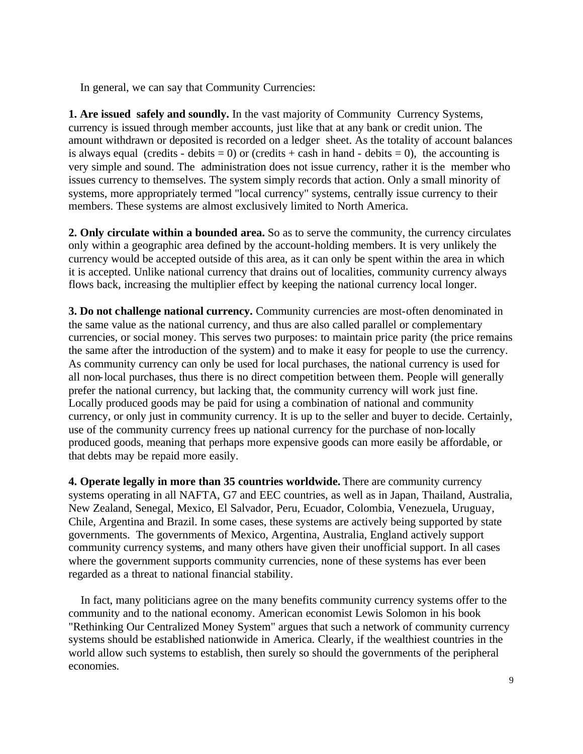In general, we can say that Community Currencies:

**1. Are issued safely and soundly.** In the vast majority of Community Currency Systems, currency is issued through member accounts, just like that at any bank or credit union. The amount withdrawn or deposited is recorded on a ledger sheet. As the totality of account balances is always equal (credits - debits = 0) or (credits + cash in hand - debits = 0), the accounting is very simple and sound. The administration does not issue currency, rather it is the member who issues currency to themselves. The system simply records that action. Only a small minority of systems, more appropriately termed "local currency" systems, centrally issue currency to their members. These systems are almost exclusively limited to North America.

**2. Only circulate within a bounded area.** So as to serve the community, the currency circulates only within a geographic area defined by the account-holding members. It is very unlikely the currency would be accepted outside of this area, as it can only be spent within the area in which it is accepted. Unlike national currency that drains out of localities, community currency always flows back, increasing the multiplier effect by keeping the national currency local longer.

**3. Do not challenge national currency.** Community currencies are most-often denominated in the same value as the national currency, and thus are also called parallel or complementary currencies, or social money. This serves two purposes: to maintain price parity (the price remains the same after the introduction of the system) and to make it easy for people to use the currency. As community currency can only be used for local purchases, the national currency is used for all non-local purchases, thus there is no direct competition between them. People will generally prefer the national currency, but lacking that, the community currency will work just fine. Locally produced goods may be paid for using a combination of national and community currency, or only just in community currency. It is up to the seller and buyer to decide. Certainly, use of the community currency frees up national currency for the purchase of non-locally produced goods, meaning that perhaps more expensive goods can more easily be affordable, or that debts may be repaid more easily.

**4. Operate legally in more than 35 countries worldwide.** There are community currency systems operating in all NAFTA, G7 and EEC countries, as well as in Japan, Thailand, Australia, New Zealand, Senegal, Mexico, El Salvador, Peru, Ecuador, Colombia, Venezuela, Uruguay, Chile, Argentina and Brazil. In some cases, these systems are actively being supported by state governments. The governments of Mexico, Argentina, Australia, England actively support community currency systems, and many others have given their unofficial support. In all cases where the government supports community currencies, none of these systems has ever been regarded as a threat to national financial stability.

 In fact, many politicians agree on the many benefits community currency systems offer to the community and to the national economy. American economist Lewis Solomon in his book "Rethinking Our Centralized Money System" argues that such a network of community currency systems should be established nationwide in America. Clearly, if the wealthiest countries in the world allow such systems to establish, then surely so should the governments of the peripheral economies.